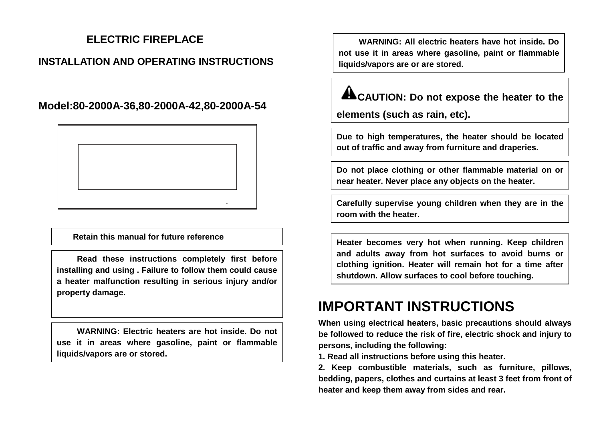## **ELECTRIC FIREPLACE**

### **INSTALLATION AND OPERATING INSTRUCTIONS**

**Model:80-2000A-36,80-2000A-42,80-2000A-54**



**Retain this manual for future reference**

**Read these instructions completely first before installing and using . Failure to follow them could cause a heater malfunction resulting in serious injury and/or property damage.**

**WARNING: Electric heaters are hot inside. Do not use it in areas where gasoline, paint or flammable liquids/vapors are or stored.**

**WARNING: All electric heaters have hot inside. Do not use it in areas where gasoline, paint or flammable liquids/vapors are or are stored.**

# **ALCAUTION: Do not expose the heater to the**

**elements (such as rain, etc).** 

Due to high temperatures, the heater should be located **out of traffic and away from furniture and draperies.**

**Do not place clothing or other flammable material on or near heater. Never place any objects on the heater.**

**Carefully supervise young children when they are in the room with the heater.**

**Heater becomes very hot when running. Keep children and adults away from hot surfaces to avoid burns or clothing ignition. Heater will remain hot for a time after shutdown. Allow surfaces to cool before touching.**

# **IMPORTANT INSTRUCTIONS**

**When using electrical heaters, basic precautions should always be followed to reduce the risk of fire, electric shock and injury to persons, including the following:**

**1. Read all instructions before using this heater.**

**2. Keep combustible materials, such as furniture, pillows, bedding, papers, clothes and curtains at least 3 feet from front of heater and keep them away from sides and rear.**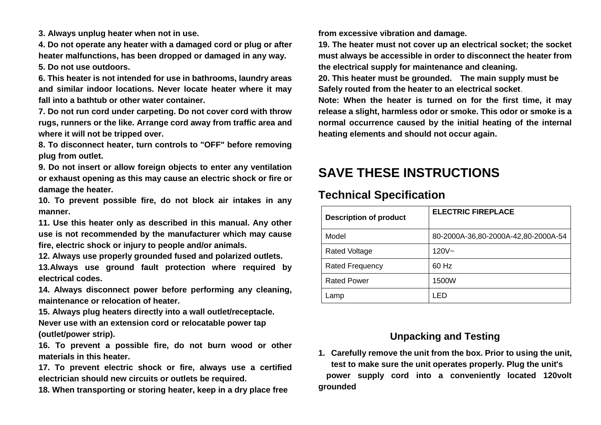**3. Always unplug heater when not in use.**

**4. Do not operate any heater with a damaged cord or plug or after heater malfunctions, has been dropped or damaged in any way. 5. Do not use outdoors.**

**6. This heater is not intended for use in bathrooms, laundry areas and similar indoor locations. Never locate heater where it may fall into a bathtub or other water container.**

**7. Do not run cord under carpeting. Do not cover cord with throw rugs, runners or the like. Arrange cord away from traffic area and where it will not be tripped over.** 

**8. To disconnect heater, turn controls to "OFF" before removing plug from outlet.**

**9. Do not insert or allow foreign objects to enter any ventilation or exhaust opening as this may cause an electric shock or fire or damage the heater.**

**10. To prevent possible fire, do not block air intakes in any manner.**

**11. Use this heater only as described in this manual. Any other use is not recommended by the manufacturer which may cause fire, electric shock or injury to people and/or animals.**

**12. Always use properly grounded fused and polarized outlets.**

**13.Always use ground fault protection where required by electrical codes.**

**14. Always disconnect power before performing any cleaning, maintenance or relocation of heater.**

**15. Always plug heaters directly into a wall outlet/receptacle. Never use with an extension cord or relocatable power tap (outlet/power strip).**

**16. To prevent a possible fire, do not burn wood or other materials in this heater.**

**17. To prevent electric shock or fire, always use a certified electrician should new circuits or outlets be required.**

**18. When transporting or storing heater, keep in a dry place free** 

**from excessive vibration and damage.**

**19. The heater must not cover up an electrical socket; the socket must always be accessible in order to disconnect the heater from the electrical supply for maintenance and cleaning.**

**20. This heater must be grounded. The main supply must be Safely routed from the heater to an electrical socket**.

**Note: When the heater is turned on for the first time, it may release a slight, harmless odor or smoke. This odor or smoke is a normal occurrence caused by the initial heating of the internal heating elements and should not occur again.**

## **SAVE THESE INSTRUCTIONS**

### **Technical Specification**

| <b>Description of product</b> | <b>ELECTRIC FIREPLACE</b>           |
|-------------------------------|-------------------------------------|
| Model                         | 80-2000A-36,80-2000A-42,80-2000A-54 |
| <b>Rated Voltage</b>          | $120V -$                            |
| <b>Rated Frequency</b>        | 60 Hz                               |
| <b>Rated Power</b>            | 1500W                               |
| _amp                          | -ED                                 |

### **Unpacking and Testing**

**1. Carefully remove the unit from the box. Prior to using the unit, test to make sure the unit operates properly. Plug the unit's power supply cord into a conveniently located 120volt grounded**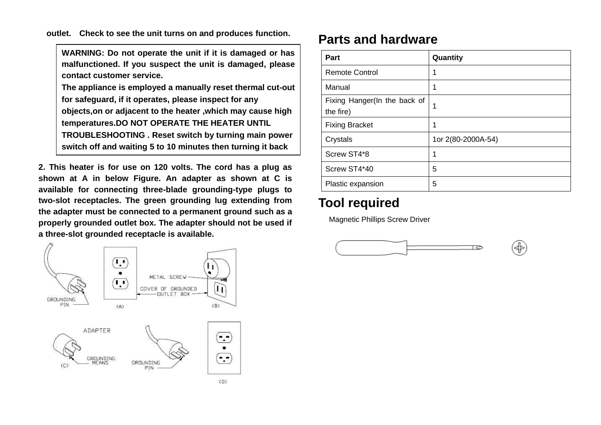**outlet. Check to see the unit turns on and produces function.**

**WARNING: Do not operate the unit if it is damaged or has malfunctioned. If you suspect the unit is damaged, please contact customer service.**

**The appliance is employed a manually reset thermal cut-out for safeguard, if it operates, please inspect for any objects,on or adjacent to the heater ,which may cause high temperatures.DO NOT OPERATE THE HEATER UNTIL TROUBLESHOOTING . Reset switch by turning main power** 

**switch off and waiting 5 to 10 minutes then turning it back**

**2. This heater is for use on 120 volts. The cord has a plug as shown at A in below Figure. An adapter as shown at C is available for connecting three-blade grounding-type plugs to two-slot receptacles. The green grounding lug extending from the adapter must be connected to a permanent ground such as a properly grounded outlet box. The adapter should not be used if a three-slot grounded receptacle is available.**





| Part                                      | Quantity           |
|-------------------------------------------|--------------------|
| <b>Remote Control</b>                     |                    |
| Manual                                    |                    |
| Fixing Hanger(In the back of<br>the fire) | 1                  |
| <b>Fixing Bracket</b>                     |                    |
| Crystals                                  | 1or 2(80-2000A-54) |
| Screw ST4*8                               |                    |
| Screw ST4*40                              | 5                  |
| Plastic expansion                         | 5                  |

## **Tool required**

Magnetic Phillips Screw Driver

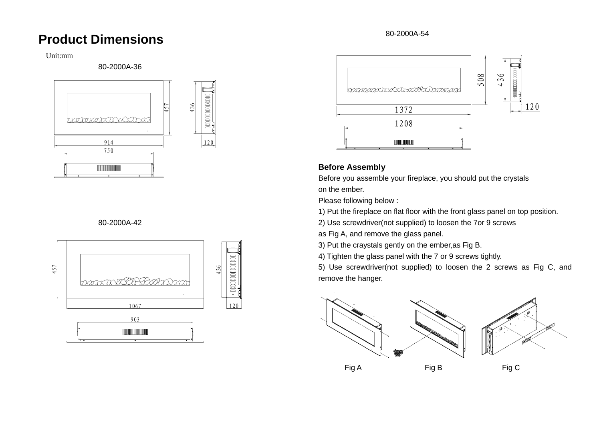## **Product Dimensions**

#### Unit:mm

80-2000A-36



#### 80-2000A-42





#### **Before Assembly**

Before you assemble your fireplace, you should put the crystals on the ember.

Please following below :

1) Put the fireplace on flat floor with the front glass panel on top position.

2) Use screwdriver(not supplied) to loosen the 7or 9 screws

as Fig A, and remove the glass panel.

3) Put the craystals gently on the ember,as Fig B.

4) Tighten the glass panel with the 7 or 9 screws tightly.

5) Use screwdriver(not supplied) to loosen the 2 screws as Fig C, and remove the hanger.

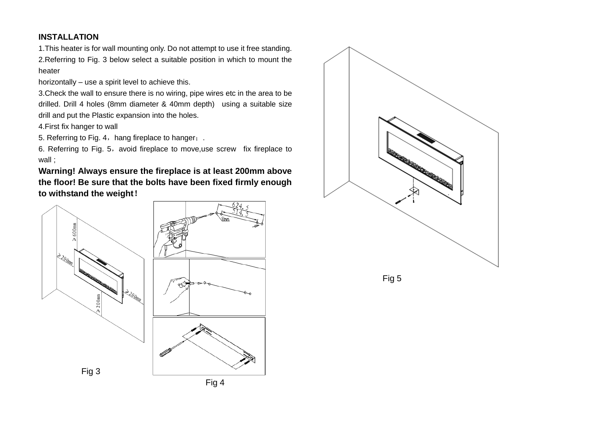#### **INSTALLATION**

1.This heater is for wall mounting only. Do not attempt to use it free standing. 2.Referring to Fig. 3 below select a suitable position in which to mount the heater

horizontally – use a spirit level to achieve this.

3.Check the wall to ensure there is no wiring, pipe wires etc in the area to be drilled. Drill 4 holes (8mm diameter & 40mm depth) using a suitable size drill and put the Plastic expansion into the holes.

4.First fix hanger to wall

5. Referring to Fig. 4, hang fireplace to hanger;.

6. Referring to Fig. 5, avoid fireplace to move,use screw fix fireplace to wall ;

**Warning! Always ensure the fireplace is at least 200mm above the floor! Be sure that the bolts have been fixed firmly enough to withstand the weight**!



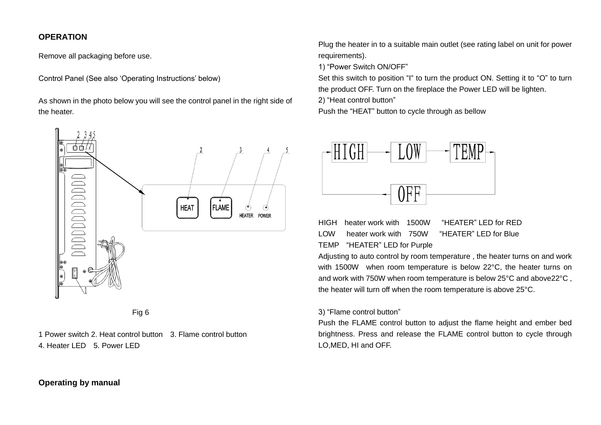#### **OPERATION**

Remove all packaging before use.

Control Panel (See also 'Operating Instructions' below)

As shown in the photo below you will see the control panel in the right side of the heater.





1 Power switch 2. Heat control button 3. Flame control button 4. Heater LED 5. Power LED

Plug the heater in to a suitable main outlet (see rating label on unit for power requirements).

1) "Power Switch ON/OFF"

Set this switch to position "I" to turn the product ON. Setting it to "O" to turn the product OFF. Turn on the fireplace the Power LED will be lighten.

2) "Heat control button"

Push the "HEAT" button to cycle through as bellow



HIGH heater work with 1500W "HEATER" LED for RED LOW heater work with 750W "HEATER" LED for Blue TEMP "HEATER" LED for Purple

Adjusting to auto control by room temperature , the heater turns on and work with 1500W when room temperature is below 22°C, the heater turns on and work with 750W when room temperature is below 25°C and above22°C , the heater will turn off when the room temperature is above 25°C.

#### 3) "Flame control button"

Push the FLAME control button to adjust the flame height and ember bed brightness. Press and release the FLAME control button to cycle through LO,MED, HI and OFF.

#### **Operating by manual**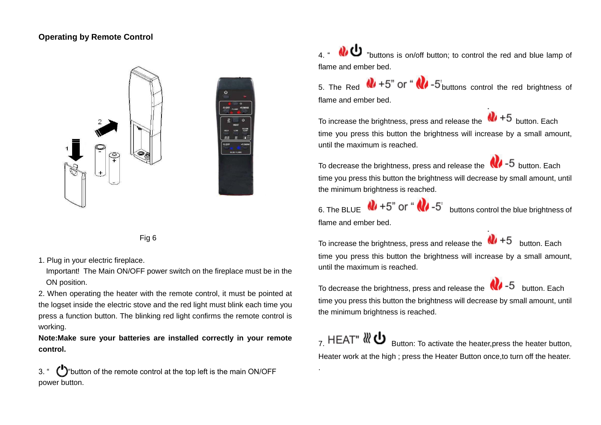#### **Operating by Remote Control**



Fig 6

1. Plug in your electric fireplace.

Important! The Main ON/OFF power switch on the fireplace must be in the ON position.

2. When operating the heater with the remote control, it must be pointed at the logset inside the electric stove and the red light must blink each time you press a function button. The blinking red light confirms the remote control is working.

**Note:Make sure your batteries are installed correctly in your remote control.**

3. "  $\binom{1}{2}$ " button of the remote control at the top left is the main ON/OFF power button.

4. "  $\bigcirc$  "buttons is on/off button; to control the red and blue lamp of flame and ember bed.

5. The Red  $\mathbf{Q}$  +5" or " $\mathbf{Q}$  -5" buttons control the red brightness of flame and ember bed.

To increase the brightness, press and release the  $\frac{1}{10}$  +5 button. Each time you press this button the brightness will increase by a small amount, until the maximum is reached.

To decrease the brightness, press and release the  $\sqrt{\phantom{a}}\,$  -5 button. Each time you press this button the brightness will decrease by small amount, until the minimum brightness is reached.

6. The BLUE  $\sqrt{1+5}$  or " $\sqrt{1-5}$  buttons control the blue brightness of flame and ember bed.

To increase the brightness, press and release the  $\bigcirc$  +5 button. Each time you press this button the brightness will increase by a small amount, until the maximum is reached.

To decrease the brightness, press and release the  $\sqrt{7}$  -5 button. Each time you press this button the brightness will decrease by small amount, until the minimum brightness is reached.

 $\sigma$  HEAT"  $\frac{1}{2}$  Button: To activate the heater, press the heater button, Heater work at the high ; press the Heater Button once,to turn off the heater.

.